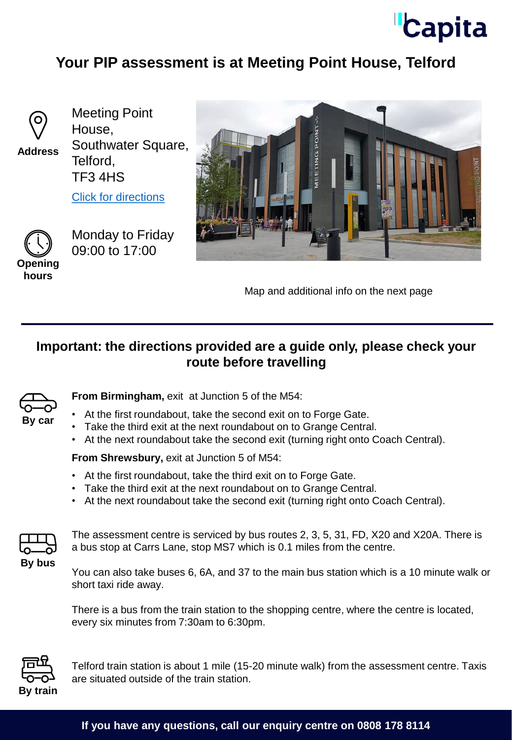

## **Your PIP assessment is at Meeting Point House, Telford**



**Address**

Meeting Point House, Southwater Square, Telford, TF3 4HS

[Click for directions](https://goo.gl/maps/sBx5ACPPpFVD8XUHA)



Monday to Friday 09:00 to 17:00



Map and additional info on the next page

## **Important: the directions provided are a guide only, please check your route before travelling**



**From Birmingham,** exit at Junction 5 of the M54:

- At the first roundabout, take the second exit on to Forge Gate.
- Take the third exit at the next roundabout on to Grange Central.
- At the next roundabout take the second exit (turning right onto Coach Central).

**From Shrewsbury, exit at Junction 5 of M54:** 

- At the first roundabout, take the third exit on to Forge Gate.
- Take the third exit at the next roundabout on to Grange Central.
- At the next roundabout take the second exit (turning right onto Coach Central).



The assessment centre is serviced by bus routes 2, 3, 5, 31, FD, X20 and X20A. There is a bus stop at Carrs Lane, stop MS7 which is 0.1 miles from the centre.

You can also take buses 6, 6A, and 37 to the main bus station which is a 10 minute walk or short taxi ride away.

There is a bus from the train station to the shopping centre, where the centre is located, every six minutes from 7:30am to 6:30pm.



Telford train station is about 1 mile (15-20 minute walk) from the assessment centre. Taxis are situated outside of the train station.